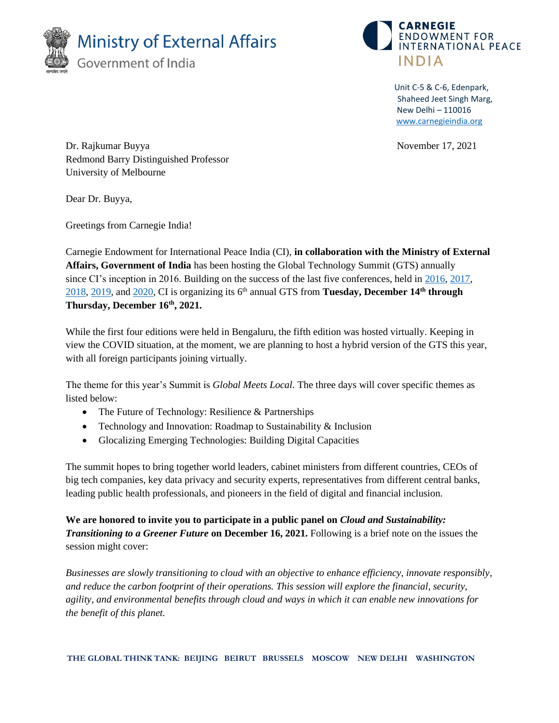



Unit C-5 & C-6, Edenpark, Shaheed Jeet Singh Marg, New Delhi – 110016 [www.carnegieindia.org](http://www.carnegieindia.org/)

Dr. Rajkumar Buyya November 17, 2021 Redmond Barry Distinguished Professor University of Melbourne

Dear Dr. Buyya,

Greetings from Carnegie India!

Carnegie Endowment for International Peace India (CI), **in collaboration with the Ministry of External Affairs, Government of India** has been hosting the Global Technology Summit (GTS) annually since CI's inception in 2016. Building on the success of the last five conferences, held in [2016,](https://carnegieindia.org/2016/12/07/global-technology-summit-2016-event-5407) [2017,](https://carnegieindia.org/2017/12/08/global-technology-summit-2017-event-5656) [2018,](https://carnegieindia.org/2018/12/19/global-technology-summit-2018-event-6944) [2019,](https://carnegieindia.org/2019/12/06/global-technology-summit-2019-event-7202) an[d 2020,](https://carnegieindia.org/2020/12/18/2020-global-technology-summit-event-7441) CI is organizing its 6 th annual GTS from **Tuesday, December 14th through Thursday, December 16th, 2021.**

While the first four editions were held in Bengaluru, the fifth edition was hosted virtually. Keeping in view the COVID situation, at the moment, we are planning to host a hybrid version of the GTS this year, with all foreign participants joining virtually.

The theme for this year's Summit is *Global Meets Local.* The three days will cover specific themes as listed below:

- The Future of Technology: Resilience & Partnerships
- Technology and Innovation: Roadmap to Sustainability & Inclusion
- Glocalizing Emerging Technologies: Building Digital Capacities

The summit hopes to bring together world leaders, cabinet ministers from different countries, CEOs of big tech companies, key data privacy and security experts, representatives from different central banks, leading public health professionals, and pioneers in the field of digital and financial inclusion.

**We are honored to invite you to participate in a public panel on** *Cloud and Sustainability: Transitioning to a Greener Future* **on December 16, 2021.** Following is a brief note on the issues the session might cover:

*Businesses are slowly transitioning to cloud with an objective to enhance efficiency, innovate responsibly, and reduce the carbon footprint of their operations. This session will explore the financial, security, agility, and environmental benefits through cloud and ways in which it can enable new innovations for the benefit of this planet.*